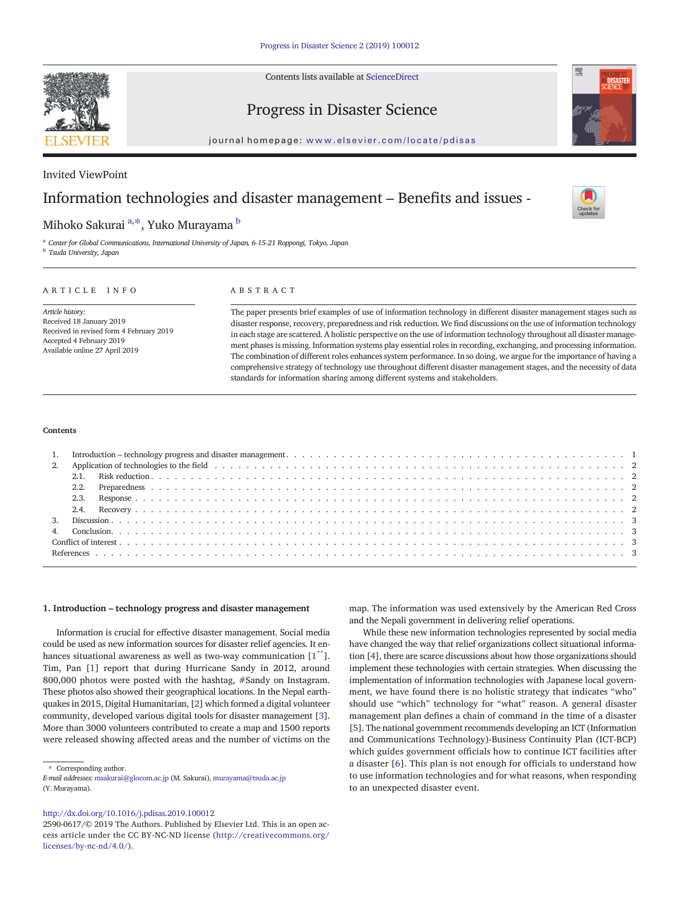Contents lists available at [ScienceDirect](http://www.sciencedirect.com/science/journal/25900617)



Progress in Disaster Science



journal homepage: <www.elsevier.com/locate/pdisas>

### Invited ViewPoint

## Information technologies and disaster management – Benefits and issues -



# Mihoko Sakurai <sup>a,</sup>\*, Yuko Murayama <sup>b</sup>

<sup>a</sup> Center for Global Communications, International University of Japan, 6-15-21 Roppongi, Tokyo, Japan <sup>b</sup> Tsuda University, Japan

#### ARTICLE INFO ABSTRACT

Article history: Received 18 January 2019 Received in revised form 4 February 2019 Accepted 4 February 2019 Available online 27 April 2019

The paper presents brief examples of use of information technology in different disaster management stages such as disaster response, recovery, preparedness and risk reduction. We find discussions on the use of information technology in each stage are scattered. A holistic perspective on the use of information technology throughout all disaster management phases is missing. Information systems play essential roles in recording, exchanging, and processing information. The combination of different roles enhances system performance. In so doing, we argue for the importance of having a comprehensive strategy of technology use throughout different disaster management stages, and the necessity of data standards for information sharing among different systems and stakeholders.

#### **Contents**

#### 1. Introduction – technology progress and disaster management

Information is crucial for effective disaster management. Social media could be used as new information sources for disaster relief agencies. It enhances situational awareness as well as two-way communication  $[1^*].$  $[1^*].$  $[1^*].$ Tim, Pan [[1](#page-2-0)] report that during Hurricane Sandy in 2012, around 800,000 photos were posted with the hashtag, #Sandy on Instagram. These photos also showed their geographical locations. In the Nepal earthquakes in 2015, Digital Humanitarian, [\[2\]](#page-2-0) which formed a digital volunteer community, developed various digital tools for disaster management [\[3\]](#page-3-0). More than 3000 volunteers contributed to create a map and 1500 reports were released showing affected areas and the number of victims on the

E-mail addresses: msakurai@glocom.ac.jp (M. Sakurai), <murayama@tsuda.ac.jp> (Y. Murayama).

map. The information was used extensively by the American Red Cross and the Nepali government in delivering relief operations.

While these new information technologies represented by social media have changed the way that relief organizations collect situational information [[4\]](#page-3-0), there are scarce discussions about how those organizations should implement these technologies with certain strategies. When discussing the implementation of information technologies with Japanese local government, we have found there is no holistic strategy that indicates "who" should use "which" technology for "what" reason. A general disaster management plan defines a chain of command in the time of a disaster [\[5\]](#page-3-0). The national government recommends developing an ICT (Information and Communications Technology)-Business Continuity Plan (ICT-BCP) which guides government officials how to continue ICT facilities after a disaster [\[6\]](#page-3-0). This plan is not enough for officials to understand how to use information technologies and for what reasons, when responding to an unexpected disaster event.

<sup>⁎</sup> Corresponding author.

<http://dx.doi.org/10.1016/j.pdisas.2019.100012>

<sup>2590-0617/© 2019</sup> The Authors. Published by Elsevier Ltd. This is an open access article under the CC BY-NC-ND license ([http://creativecommons.org/](http://creativecommons.org/licenses/by-nc-nd/4.0/) [licenses/by-nc-nd/4.0/](http://creativecommons.org/licenses/by-nc-nd/4.0/)).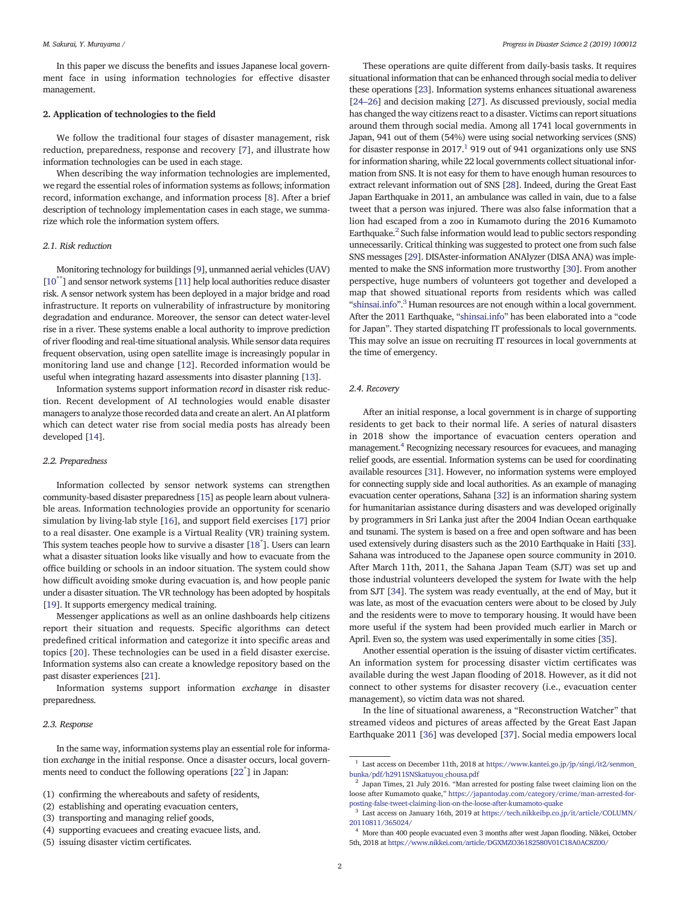In this paper we discuss the benefits and issues Japanese local government face in using information technologies for effective disaster management.

#### 2. Application of technologies to the field

We follow the traditional four stages of disaster management, risk reduction, preparedness, response and recovery [\[7\]](#page-3-0), and illustrate how information technologies can be used in each stage.

When describing the way information technologies are implemented, we regard the essential roles of information systems as follows; information record, information exchange, and information process [[8](#page-3-0)]. After a brief description of technology implementation cases in each stage, we summarize which role the information system offers.

#### 2.1. Risk reduction

Monitoring technology for buildings [\[9](#page-3-0)], unmanned aerial vehicles (UAV) [[10](#page-3-0)<sup>\*\*</sup>] and sensor network systems [\[11](#page-3-0)] help local authorities reduce disaster risk. A sensor network system has been deployed in a major bridge and road infrastructure. It reports on vulnerability of infrastructure by monitoring degradation and endurance. Moreover, the sensor can detect water-level rise in a river. These systems enable a local authority to improve prediction of river flooding and real-time situational analysis. While sensor data requires frequent observation, using open satellite image is increasingly popular in monitoring land use and change [[12\]](#page-3-0). Recorded information would be useful when integrating hazard assessments into disaster planning [\[13\]](#page-3-0).

Information systems support information record in disaster risk reduction. Recent development of AI technologies would enable disaster managers to analyze those recorded data and create an alert. An AI platform which can detect water rise from social media posts has already been developed [[14\]](#page-3-0).

#### 2.2. Preparedness

Information collected by sensor network systems can strengthen community-based disaster preparedness [\[15](#page-3-0)] as people learn about vulnerable areas. Information technologies provide an opportunity for scenario simulation by living-lab style [[16](#page-3-0)], and support field exercises [[17\]](#page-3-0) prior to a real disaster. One example is a Virtual Reality (VR) training system. This system teaches people how to survive a disaster [\[18\\*](#page-3-0) ]. Users can learn what a disaster situation looks like visually and how to evacuate from the office building or schools in an indoor situation. The system could show how difficult avoiding smoke during evacuation is, and how people panic under a disaster situation. The VR technology has been adopted by hospitals [[19](#page-3-0)]. It supports emergency medical training.

Messenger applications as well as an online dashboards help citizens report their situation and requests. Specific algorithms can detect predefined critical information and categorize it into specific areas and topics [\[20](#page-3-0)]. These technologies can be used in a field disaster exercise. Information systems also can create a knowledge repository based on the past disaster experiences [\[21](#page-3-0)].

Information systems support information exchange in disaster preparedness.

#### 2.3. Response

In the same way, information systems play an essential role for information exchange in the initial response. Once a disaster occurs, local governments need to conduct the following operations [22<sup>\*</sup>] in Japan:

(2) establishing and operating evacuation centers,

- (4) supporting evacuees and creating evacuee lists, and.
- (5) issuing disaster victim certificates.

These operations are quite different from daily-basis tasks. It requires situational information that can be enhanced through social media to deliver these operations [\[23\]](#page-3-0). Information systems enhances situational awareness [\[24](#page-3-0)–26] and decision making [\[27\]](#page-3-0). As discussed previously, social media has changed the way citizens react to a disaster. Victims can report situations around them through social media. Among all 1741 local governments in Japan, 941 out of them (54%) were using social networking services (SNS) for disaster response in 2017.<sup>1</sup> 919 out of 941 organizations only use SNS for information sharing, while 22 local governments collect situational information from SNS. It is not easy for them to have enough human resources to extract relevant information out of SNS [\[28\]](#page-3-0). Indeed, during the Great East Japan Earthquake in 2011, an ambulance was called in vain, due to a false tweet that a person was injured. There was also false information that a lion had escaped from a zoo in Kumamoto during the 2016 Kumamoto Earthquake.<sup>2</sup> Such false information would lead to public sectors responding unnecessarily. Critical thinking was suggested to protect one from such false SNS messages [\[29\]](#page-3-0). DISAster-information ANAlyzer (DISA ANA) was implemented to make the SNS information more trustworthy [\[30\]](#page-3-0). From another perspective, huge numbers of volunteers got together and developed a map that showed situational reports from residents which was called "[shinsai.info](http://shinsai.info)". <sup>3</sup> Human resources are not enough within a local government. After the 2011 Earthquake, "[shinsai.info](http://shinsai.info)" has been elaborated into a "code for Japan". They started dispatching IT professionals to local governments. This may solve an issue on recruiting IT resources in local governments at the time of emergency.

#### 2.4. Recovery

After an initial response, a local government is in charge of supporting residents to get back to their normal life. A series of natural disasters in 2018 show the importance of evacuation centers operation and management.4 Recognizing necessary resources for evacuees, and managing relief goods, are essential. Information systems can be used for coordinating available resources [\[31\]](#page-3-0). However, no information systems were employed for connecting supply side and local authorities. As an example of managing evacuation center operations, Sahana [\[32\]](#page-3-0) is an information sharing system for humanitarian assistance during disasters and was developed originally by programmers in Sri Lanka just after the 2004 Indian Ocean earthquake and tsunami. The system is based on a free and open software and has been used extensively during disasters such as the 2010 Earthquake in Haiti [\[33](#page-3-0)]. Sahana was introduced to the Japanese open source community in 2010. After March 11th, 2011, the Sahana Japan Team (SJT) was set up and those industrial volunteers developed the system for Iwate with the help from SJT [\[34](#page-3-0)]. The system was ready eventually, at the end of May, but it was late, as most of the evacuation centers were about to be closed by July and the residents were to move to temporary housing. It would have been more useful if the system had been provided much earlier in March or April. Even so, the system was used experimentally in some cities [\[35](#page-3-0)].

Another essential operation is the issuing of disaster victim certificates. An information system for processing disaster victim certificates was available during the west Japan flooding of 2018. However, as it did not connect to other systems for disaster recovery (i.e., evacuation center management), so victim data was not shared.

In the line of situational awareness, a "Reconstruction Watcher" that streamed videos and pictures of areas affected by the Great East Japan Earthquake 2011 [[36\]](#page-3-0) was developed [\[37](#page-3-0)]. Social media empowers local

<sup>(1)</sup> confirming the whereabouts and safety of residents,

<sup>(3)</sup> transporting and managing relief goods,

 $^{\rm 1}$  Last access on December 11th, 2018 at [https://www.kantei.go.jp/jp/singi/it2/senmon\\_](https://www.kantei.go.jp/jp/singi/it2/senmon_bunka/pdf/h2911SNSkatuyou_chousa.pdf) [bunka/pdf/h2911SNSkatuyou\\_chousa.pdf](https://www.kantei.go.jp/jp/singi/it2/senmon_bunka/pdf/h2911SNSkatuyou_chousa.pdf)

<sup>2</sup> Japan Times, 21 July 2016. "Man arrested for posting false tweet claiming lion on the loose after Kumamoto quake," [https://japantoday.com/category/crime/man-arrested-for](https://japantoday.com/category/crime/man-arrested-for-posting-false-tweet-claiming-lion-on-the-loose-after-kumamoto-quake)[posting-false-tweet-claiming-lion-on-the-loose-after-kumamoto-quake](https://japantoday.com/category/crime/man-arrested-for-posting-false-tweet-claiming-lion-on-the-loose-after-kumamoto-quake)

 $^3\,$  Last access on January 16th, 2019 at [https://tech.nikkeibp.co.jp/it/article/COLUMN/](https://tech.nikkeibp.co.jp/it/article/COLUMN/20110811/365024/) [20110811/365024/](https://tech.nikkeibp.co.jp/it/article/COLUMN/20110811/365024/)

<sup>&</sup>lt;sup>4</sup> More than 400 people evacuated even 3 months after west Japan flooding. Nikkei, October 5th, 2018 at <https://www.nikkei.com/article/DGXMZO36182580V01C18A0AC8Z00/>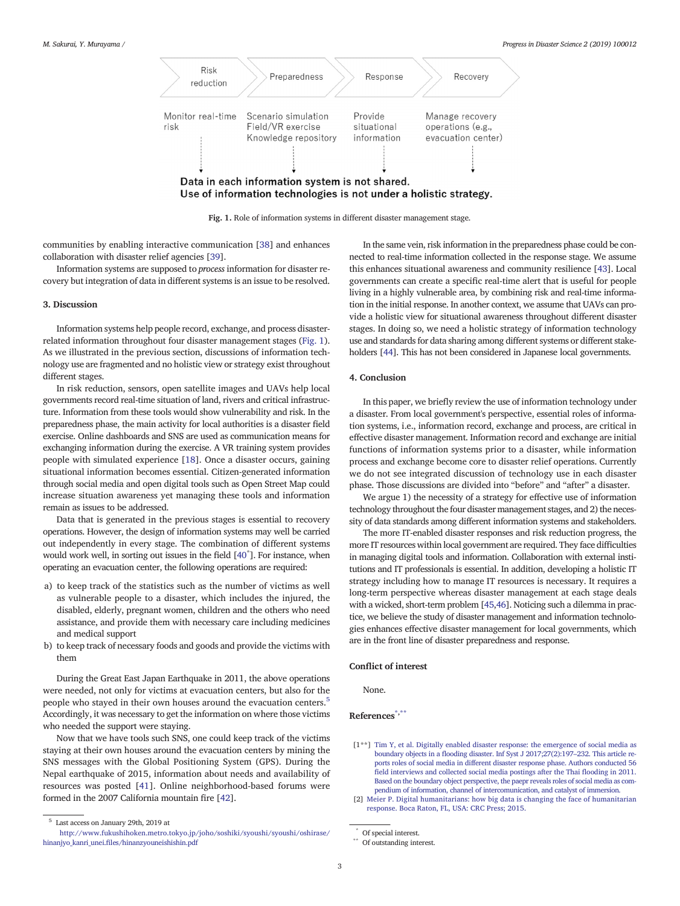<span id="page-2-0"></span>

Fig. 1. Role of information systems in different disaster management stage.

communities by enabling interactive communication [\[38](#page-3-0)] and enhances collaboration with disaster relief agencies [\[39\]](#page-3-0).

Information systems are supposed to process information for disaster recovery but integration of data in different systems is an issue to be resolved.

#### 3. Discussion

Information systems help people record, exchange, and process disasterrelated information throughout four disaster management stages (Fig. 1). As we illustrated in the previous section, discussions of information technology use are fragmented and no holistic view or strategy exist throughout different stages.

In risk reduction, sensors, open satellite images and UAVs help local governments record real-time situation of land, rivers and critical infrastructure. Information from these tools would show vulnerability and risk. In the preparedness phase, the main activity for local authorities is a disaster field exercise. Online dashboards and SNS are used as communication means for exchanging information during the exercise. A VR training system provides people with simulated experience [\[18](#page-3-0)]. Once a disaster occurs, gaining situational information becomes essential. Citizen-generated information through social media and open digital tools such as Open Street Map could increase situation awareness yet managing these tools and information remain as issues to be addressed.

Data that is generated in the previous stages is essential to recovery operations. However, the design of information systems may well be carried out independently in every stage. The combination of different systems would work well, in sorting out issues in the field [\[40](#page-3-0)\* ]. For instance, when operating an evacuation center, the following operations are required:

- a) to keep track of the statistics such as the number of victims as well as vulnerable people to a disaster, which includes the injured, the disabled, elderly, pregnant women, children and the others who need assistance, and provide them with necessary care including medicines and medical support
- b) to keep track of necessary foods and goods and provide the victims with them

During the Great East Japan Earthquake in 2011, the above operations were needed, not only for victims at evacuation centers, but also for the people who stayed in their own houses around the evacuation centers.<sup>5</sup> Accordingly, it was necessary to get the information on where those victims who needed the support were staying.

Now that we have tools such SNS, one could keep track of the victims staying at their own houses around the evacuation centers by mining the SNS messages with the Global Positioning System (GPS). During the Nepal earthquake of 2015, information about needs and availability of resources was posted [[41\]](#page-3-0). Online neighborhood-based forums were formed in the 2007 California mountain fire [\[42\]](#page-3-0).

In the same vein, risk information in the preparedness phase could be connected to real-time information collected in the response stage. We assume this enhances situational awareness and community resilience [\[43](#page-3-0)]. Local governments can create a specific real-time alert that is useful for people living in a highly vulnerable area, by combining risk and real-time information in the initial response. In another context, we assume that UAVs can provide a holistic view for situational awareness throughout different disaster stages. In doing so, we need a holistic strategy of information technology use and standards for data sharing among different systems or different stakeholders [[44](#page-3-0)]. This has not been considered in Japanese local governments.

#### 4. Conclusion

In this paper, we briefly review the use of information technology under a disaster. From local government's perspective, essential roles of information systems, i.e., information record, exchange and process, are critical in effective disaster management. Information record and exchange are initial functions of information systems prior to a disaster, while information process and exchange become core to disaster relief operations. Currently we do not see integrated discussion of technology use in each disaster phase. Those discussions are divided into "before" and "after" a disaster.

We argue 1) the necessity of a strategy for effective use of information technology throughout the four disaster management stages, and 2) the necessity of data standards among different information systems and stakeholders.

The more IT-enabled disaster responses and risk reduction progress, the more IT resources within local government are required. They face difficulties in managing digital tools and information. Collaboration with external institutions and IT professionals is essential. In addition, developing a holistic IT strategy including how to manage IT resources is necessary. It requires a long-term perspective whereas disaster management at each stage deals with a wicked, short-term problem [\[45,46](#page-3-0)]. Noticing such a dilemma in practice, we believe the study of disaster management and information technologies enhances effective disaster management for local governments, which are in the front line of disaster preparedness and response.

#### Conflict of interest

None.

### References\*,\*\*

[1\*\*] [Tim Y, et al. Digitally enabled disaster response: the emergence of social media as](http://refhub.elsevier.com/S2590-0617(19)30012-2/rf0005) boundary objects in a fl[ooding disaster. Inf Syst J 2017;27\(2\):197](http://refhub.elsevier.com/S2590-0617(19)30012-2/rf0005)–232. This article reports roles of social media in different disaster response phase. Authors conducted 56 field interviews and collected social media postings after the Thai flooding in 2011. Based on the boundary object perspective, the paepr reveals roles of social media as compendium of information, channel of intercomunication, and catalyst of immersion.

<sup>5</sup> Last access on January 29th, 2019 at

[http://www.fukushihoken.metro.tokyo.jp/joho/soshiki/syoushi/syoushi/oshirase/](http://www.fukushihoken.metro.tokyo.jp/joho/soshiki/syoushi/syoushi/oshirase/hinanjyo_kanri_unei.files/hinanzyouneishishin.pdf) hinanjyo\_kanri\_unei.fi[les/hinanzyouneishishin.pdf](http://www.fukushihoken.metro.tokyo.jp/joho/soshiki/syoushi/syoushi/oshirase/hinanjyo_kanri_unei.files/hinanzyouneishishin.pdf)

<sup>[2]</sup> [Meier P. Digital humanitarians: how big data is changing the face of humanitarian](http://refhub.elsevier.com/S2590-0617(19)30012-2/rf0010) [response. Boca Raton, FL, USA: CRC Press; 2015.](http://refhub.elsevier.com/S2590-0617(19)30012-2/rf0010)

Of special interest.

Of outstanding interest.